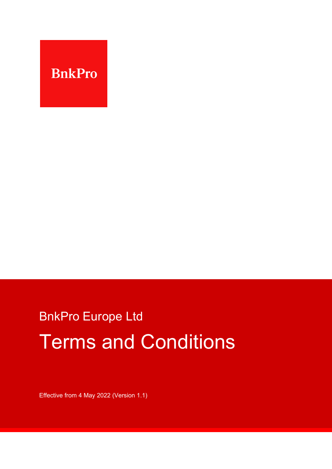

# BnkPro Europe Ltd Terms and Conditions

Effective from 4 May 2022 (Version 1.1)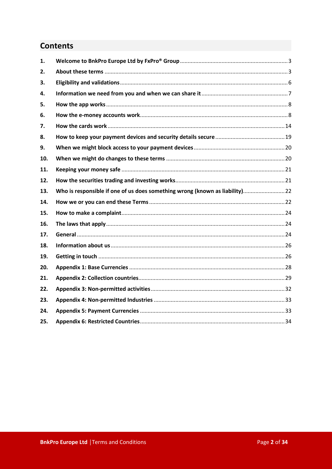## **Contents**

| 1.  |                                                                              |  |
|-----|------------------------------------------------------------------------------|--|
| 2.  |                                                                              |  |
| 3.  |                                                                              |  |
| 4.  |                                                                              |  |
| 5.  |                                                                              |  |
| 6.  |                                                                              |  |
| 7.  |                                                                              |  |
| 8.  |                                                                              |  |
| 9.  |                                                                              |  |
| 10. |                                                                              |  |
| 11. |                                                                              |  |
| 12. |                                                                              |  |
| 13. | Who is responsible if one of us does something wrong (known as liability) 22 |  |
| 14. |                                                                              |  |
| 15. |                                                                              |  |
| 16. |                                                                              |  |
| 17. |                                                                              |  |
| 18. |                                                                              |  |
| 19. |                                                                              |  |
| 20. |                                                                              |  |
| 21. |                                                                              |  |
| 22. |                                                                              |  |
| 23. |                                                                              |  |
| 24. |                                                                              |  |
| 25. |                                                                              |  |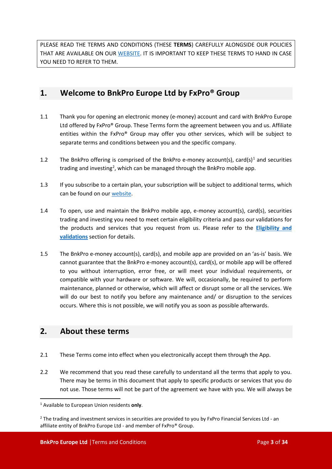PLEASE READ THE TERMS AND CONDITIONS (THESE **TERMS**) CAREFULLY ALONGSIDE OUR POLICIES THAT ARE AVAILABLE ON OUR [WE](https://bnkpro.com/)BSITE. IT IS IMPORTANT TO KEEP THESE TERMS TO HAND IN CASE YOU NEED TO REFER TO THEM.

#### <span id="page-2-0"></span>**1. Welcome to BnkPro Europe Ltd by FxPro® Group**

- 1.1 Thank you for opening an electronic money (e-money) account and card with BnkPro Europe Ltd offered by FxPro® Group. These Terms form the agreement between you and us. Affiliate entities within the FxPro® Group may offer you other services, which will be subject to separate terms and conditions between you and the specific company.
- [1](#page-2-2).2 The BnkPro offering is comprised of the BnkPro e-money account(s), card(s)<sup>1</sup> and securities trading and investing<sup>[2](#page-2-3)</sup>, which can be managed through the BnkPro mobile app.
- 1.3 If you subscribe to a certain plan, your subscription will be subject to additional terms, which can be found on our [web](https://bnkpro.com/)site.
- 1.4 To open, use and maintain the BnkPro mobile app, e-money account(s), card(s), securities trading and investing you need to meet certain eligibility criteria and pass our validations for the products and services that you request from us. Please refer to the **[Eligibility and](#page-5-0)  [validations](#page-5-0)** section for details.
- 1.5 The BnkPro e-money account(s), card(s), and mobile app are provided on an 'as-is' basis. We cannot guarantee that the BnkPro e-money account(s), card(s), or mobile app will be offered to you without interruption, error free, or will meet your individual requirements, or compatible with your hardware or software. We will, occasionally, be required to perform maintenance, planned or otherwise, which will affect or disrupt some or all the services. We will do our best to notify you before any maintenance and/ or disruption to the services occurs. Where this is not possible, we will notify you as soon as possible afterwards.

### <span id="page-2-1"></span>**2. About these terms**

- 2.1 These Terms come into effect when you electronically accept them through the App.
- 2.2 We recommend that you read these carefully to understand all the terms that apply to you. There may be terms in this document that apply to specific products or services that you do not use. Those terms will not be part of the agreement we have with you. We will always be

<span id="page-2-2"></span><sup>1</sup> Available to European Union residents **only**.

<span id="page-2-3"></span><sup>&</sup>lt;sup>2</sup> The trading and investment services in securities are provided to you by FxPro Financial Services Ltd - an affiliate entity of BnkPro Europe Ltd - and member of FxPro® Group.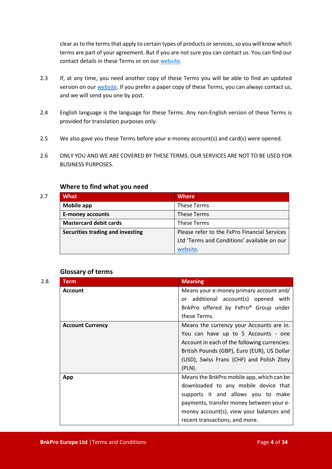clear as to the terms that apply to certain types of products or services, so you will know which terms are part of your agreement. But if you are not sure you can contact us. You can find our contact details in these Terms or on our [web](https://bnkpro.com/)site.

- 2.3 If, at any time, you need another copy of these Terms you will be able to find an updated version on our [w](https://bnkpro.com/)ebsite. If you prefer a paper copy of these Terms, you can always contact us, and we will send you one by post.
- 2.4 English language is the language for these Terms. Any non-English version of these Terms is provided for translation purposes only.
- 2.5 We also gave you these Terms before your e-money account(s) and card(s) were opened.
- 2.6 ONLY YOU AND WE ARE COVERED BY THESE TERMS. OUR SERVICES ARE NOT TO BE USED FOR BUSINESS PURPOSES.

#### **Where to find what you need**

| 2.7 | What                             | <b>Where</b>                                 |  |
|-----|----------------------------------|----------------------------------------------|--|
|     | Mobile app                       | These Terms                                  |  |
|     | <b>E-money accounts</b>          | These Terms                                  |  |
|     | <b>Mastercard debit cards</b>    | These Terms                                  |  |
|     | Securities trading and investing | Please refer to the FxPro Financial Services |  |
|     |                                  | Ltd 'Terms and Conditions' available on our  |  |
|     |                                  | website.                                     |  |

#### **Glossary of terms**

| 2.8 | <b>Term</b>             | <b>Meaning</b>                               |  |
|-----|-------------------------|----------------------------------------------|--|
|     | <b>Account</b>          | Means your e-money primary account and/      |  |
|     |                         | or additional account(s) opened with         |  |
|     |                         | BnkPro offered by FxPro® Group under         |  |
|     |                         | these Terms.                                 |  |
|     | <b>Account Currency</b> | Means the currency your Accounts are in.     |  |
|     |                         | You can have up to 5 Accounts - one          |  |
|     |                         | Account in each of the following currencies: |  |
|     |                         | British Pounds (GBP), Euro (EUR), US Dollar  |  |
|     |                         | (USD), Swiss Franc (CHF) and Polish Zloty    |  |
|     |                         | $(PLN)$ .                                    |  |
| App |                         | Means the BnkPro mobile app, which can be    |  |
|     |                         | downloaded to any mobile device that         |  |
|     |                         | supports it and allows you to make           |  |
|     |                         | payments, transfer money between your e-     |  |
|     |                         | money account(s), view your balances and     |  |
|     |                         | recent transactions, and more.               |  |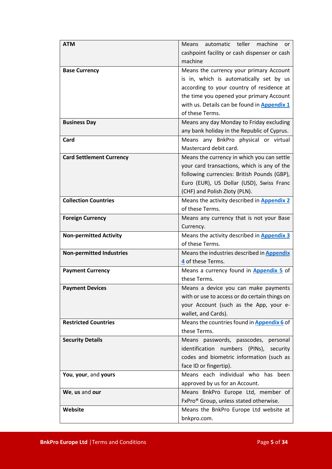| <b>ATM</b>                      | Means automatic teller machine<br>or                                                       |  |
|---------------------------------|--------------------------------------------------------------------------------------------|--|
|                                 | cashpoint facility or cash dispenser or cash<br>machine                                    |  |
|                                 |                                                                                            |  |
| <b>Base Currency</b>            | Means the currency your primary Account                                                    |  |
|                                 | is in, which is automatically set by us                                                    |  |
|                                 | according to your country of residence at                                                  |  |
|                                 | the time you opened your primary Account                                                   |  |
|                                 | with us. Details can be found in Appendix 1<br>of these Terms.                             |  |
|                                 |                                                                                            |  |
| <b>Business Day</b>             | Means any day Monday to Friday excluding                                                   |  |
|                                 | any bank holiday in the Republic of Cyprus.<br>Means any BnkPro physical or virtual        |  |
| Card                            | Mastercard debit card.                                                                     |  |
|                                 |                                                                                            |  |
| <b>Card Settlement Currency</b> | Means the currency in which you can settle                                                 |  |
|                                 | your card transactions, which is any of the<br>following currencies: British Pounds (GBP), |  |
|                                 | Euro (EUR), US Dollar (USD), Swiss Franc                                                   |  |
|                                 | (CHF) and Polish Zloty (PLN).                                                              |  |
| <b>Collection Countries</b>     | Means the activity described in Appendix 2                                                 |  |
|                                 | of these Terms.                                                                            |  |
| <b>Foreign Currency</b>         | Means any currency that is not your Base                                                   |  |
|                                 | Currency.                                                                                  |  |
| <b>Non-permitted Activity</b>   | Means the activity described in <b>Appendix 3</b>                                          |  |
|                                 | of these Terms.                                                                            |  |
| <b>Non-permitted Industries</b> | Means the industries described in Appendix                                                 |  |
|                                 | 4 of these Terms.                                                                          |  |
| <b>Payment Currency</b>         | Means a currency found in Appendix 5 of                                                    |  |
|                                 | these Terms.                                                                               |  |
| <b>Payment Devices</b>          | Means a device you can make payments                                                       |  |
|                                 | with or use to access or do certain things on                                              |  |
|                                 | your Account (such as the App, your e-                                                     |  |
|                                 | wallet, and Cards).                                                                        |  |
| <b>Restricted Countries</b>     | Means the countries found in <b>Appendix 6</b> of                                          |  |
|                                 | these Terms.                                                                               |  |
| <b>Security Details</b>         | Means passwords, passcodes, personal                                                       |  |
|                                 | identification numbers (PINs),<br>security                                                 |  |
|                                 | codes and biometric information (such as                                                   |  |
|                                 | face ID or fingertip).                                                                     |  |
| You, your, and yours            | Means each individual who has been                                                         |  |
|                                 | approved by us for an Account.                                                             |  |
| We, us and our                  | Means BnkPro Europe Ltd, member of                                                         |  |
|                                 | FxPro <sup>®</sup> Group, unless stated otherwise.                                         |  |
| Website                         | Means the BnkPro Europe Ltd website at                                                     |  |
|                                 | bnkpro.com.                                                                                |  |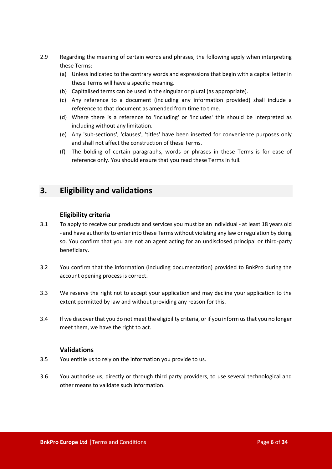- 2.9 Regarding the meaning of certain words and phrases, the following apply when interpreting these Terms:
	- (a) Unless indicated to the contrary words and expressions that begin with a capital letter in these Terms will have a specific meaning.
	- (b) Capitalised terms can be used in the singular or plural (as appropriate).
	- (c) Any reference to a document (including any information provided) shall include a reference to that document as amended from time to time.
	- (d) Where there is a reference to 'including' or 'includes' this should be interpreted as including without any limitation.
	- (e) Any 'sub-sections', 'clauses', 'titles' have been inserted for convenience purposes only and shall not affect the construction of these Terms.
	- (f) The bolding of certain paragraphs, words or phrases in these Terms is for ease of reference only. You should ensure that you read these Terms in full.

#### <span id="page-5-0"></span>**3. Eligibility and validations**

#### **Eligibility criteria**

- 3.1 To apply to receive our products and services you must be an individual at least 18 years old - and have authority to enter into these Terms without violating any law or regulation by doing so. You confirm that you are not an agent acting for an undisclosed principal or third-party beneficiary.
- 3.2 You confirm that the information (including documentation) provided to BnkPro during the account opening process is correct.
- 3.3 We reserve the right not to accept your application and may decline your application to the extent permitted by law and without providing any reason for this.
- 3.4 If we discover that you do not meet the eligibility criteria, or if you inform us that you no longer meet them, we have the right to act.

#### **Validations**

- 3.5 You entitle us to rely on the information you provide to us.
- 3.6 You authorise us, directly or through third party providers, to use several technological and other means to validate such information.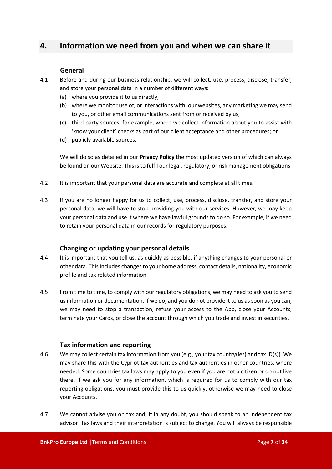#### <span id="page-6-0"></span>**4. Information we need from you and when we can share it**

#### **General**

- 4.1 Before and during our business relationship, we will collect, use, process, disclose, transfer, and store your personal data in a number of different ways:
	- (a) where you provide it to us directly;
	- (b) where we monitor use of, or interactions with, our websites, any marketing we may send to you, or other email communications sent from or received by us;
	- (c) third party sources, for example, where we collect information about you to assist with 'know your client' checks as part of our client acceptance and other procedures; or
	- (d) publicly available sources.

We will do so as detailed in our **Privacy Policy** the most updated version of which can always be found on our Website. This is to fulfil our legal, regulatory, or risk management obligations.

- 4.2 It is important that your personal data are accurate and complete at all times.
- 4.3 If you are no longer happy for us to collect, use, process, disclose, transfer, and store your personal data, we will have to stop providing you with our services. However, we may keep your personal data and use it where we have lawful grounds to do so. For example, if we need to retain your personal data in our records for regulatory purposes.

#### **Changing or updating your personal details**

- 4.4 It is important that you tell us, as quickly as possible, if anything changes to your personal or other data. This includes changes to your home address, contact details, nationality, economic profile and tax related information.
- 4.5 From time to time, to comply with our regulatory obligations, we may need to ask you to send us information or documentation. If we do, and you do not provide it to us as soon as you can, we may need to stop a transaction, refuse your access to the App, close your Accounts, terminate your Cards, or close the account through which you trade and invest in securities.

#### **Tax information and reporting**

- 4.6 We may collect certain tax information from you (e.g., your tax country(ies) and tax ID(s)). We may share this with the Cypriot tax authorities and tax authorities in other countries, where needed. Some countries tax laws may apply to you even if you are not a citizen or do not live there. If we ask you for any information, which is required for us to comply with our tax reporting obligations, you must provide this to us quickly, otherwise we may need to close your Accounts.
- 4.7 We cannot advise you on tax and, if in any doubt, you should speak to an independent tax advisor. Tax laws and their interpretation is subject to change. You will always be responsible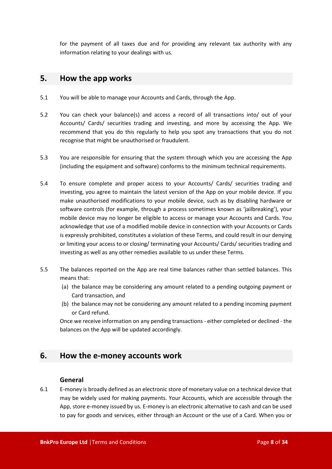for the payment of all taxes due and for providing any relevant tax authority with any information relating to your dealings with us.

#### <span id="page-7-0"></span>**5. How the app works**

- 5.1 You will be able to manage your Accounts and Cards, through the App.
- 5.2 You can check your balance(s) and access a record of all transactions into/ out of your Accounts/ Cards/ securities trading and investing, and more by accessing the App. We recommend that you do this regularly to help you spot any transactions that you do not recognise that might be unauthorised or fraudulent.
- 5.3 You are responsible for ensuring that the system through which you are accessing the App (including the equipment and software) conforms to the minimum technical requirements.
- 5.4 To ensure complete and proper access to your Accounts/ Cards/ securities trading and investing, you agree to maintain the latest version of the App on your mobile device. If you make unauthorised modifications to your mobile device, such as by disabling hardware or software controls (for example, through a process sometimes known as 'jailbreaking'), your mobile device may no longer be eligible to access or manage your Accounts and Cards. You acknowledge that use of a modified mobile device in connection with your Accounts or Cards is expressly prohibited, constitutes a violation of these Terms, and could result in our denying or limiting your access to or closing/ terminating your Accounts/ Cards/ securities trading and investing as well as any other remedies available to us under these Terms.
- 5.5 The balances reported on the App are real time balances rather than settled balances. This means that:
	- (a) the balance may be considering any amount related to a pending outgoing payment or Card transaction, and
	- (b) the balance may not be considering any amount related to a pending incoming payment or Card refund.

Once we receive information on any pending transactions - either completed or declined - the balances on the App will be updated accordingly.

#### <span id="page-7-1"></span>**6. How the e-money accounts work**

#### **General**

6.1 E-money is broadly defined as an electronic store of monetary value on a technical device that may be widely used for making payments. Your Accounts, which are accessible through the App, store e-money issued by us. E-money is an electronic alternative to cash and can be used to pay for goods and services, either through an Account or the use of a Card. When you or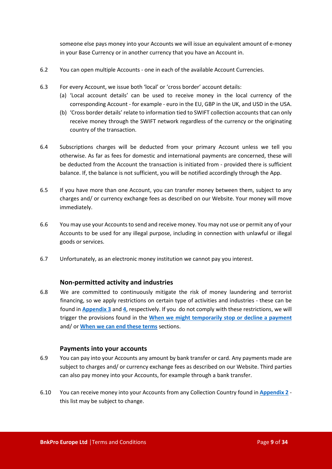someone else pays money into your Accounts we will issue an equivalent amount of e-money in your Base Currency or in another currency that you have an Account in.

- 6.2 You can open multiple Accounts one in each of the available Account Currencies.
- 6.3 For every Account, we issue both 'local' or 'cross border' account details:
	- (a) 'Local account details' can be used to receive money in the local currency of the corresponding Account - for example - euro in the EU, GBP in the UK, and USD in the USA.
	- (b) 'Cross border details' relate to information tied to SWIFT collection accounts that can only receive money through the SWIFT network regardless of the currency or the originating country of the transaction.
- 6.4 Subscriptions charges will be deducted from your primary Account unless we tell you otherwise. As far as fees for domestic and international payments are concerned, these will be deducted from the Account the transaction is initiated from - provided there is sufficient balance. If, the balance is not sufficient, you will be notified accordingly through the App.
- 6.5 If you have more than one Account, you can transfer money between them, subject to any charges and/ or currency exchange fees as described on our Website. Your money will move immediately.
- 6.6 You may use your Accounts to send and receive money. You may not use or permit any of your Accounts to be used for any illegal purpose, including in connection with unlawful or illegal goods or services.
- 6.7 Unfortunately, as an electronic money institution we cannot pay you interest.

#### **Non-permitted activity and industries**

6.8 We are committed to continuously mitigate the risk of money laundering and terrorist financing, so we apply restrictions on certain type of activities and industries - these can be found in **[Appendix 3](#page-31-0)** and **[4](#page-32-0)**, respectively. If you do not comply with these restrictions, we will trigger the provisions found in the **[When we might temporarily stop or decline](#page-12-0) a payment** and/ or **[When we can end these terms](#page-22-0)** sections.

#### **Payments into your accounts**

- 6.9 You can pay into your Accounts any amount by bank transfer or card. Any payments made are subject to charges and/ or currency exchange fees as described on our Website. Third parties can also pay money into your Accounts, for example through a bank transfer.
- 6.10 You can receive money into your Accounts from any Collection Country found in **[Appendix 2](#page-28-0)** this list may be subject to change.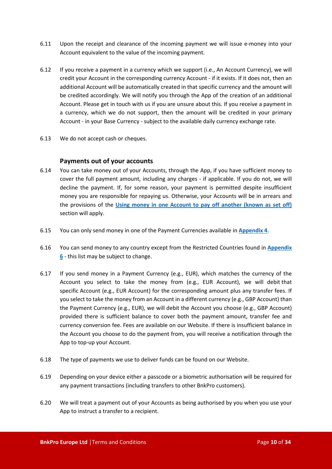- 6.11 Upon the receipt and clearance of the incoming payment we will issue e-money into your Account equivalent to the value of the incoming payment.
- 6.12 If you receive a payment in a currency which we support (i.e., An Account Currency), we will credit your Account in the corresponding currency Account - if it exists. If it does not, then an additional Account will be automatically created in that specific currency and the amount will be credited accordingly. We will notify you through the App of the creation of an additional Account. Please get in touch with us if you are unsure about this. If you receive a payment in a currency, which we do not support, then the amount will be credited in your primary Account - in your Base Currency - subject to the available daily currency exchange rate.
- 6.13 We do not accept cash or cheques.

#### **Payments out of your accounts**

- 6.14 You can take money out of your Accounts, through the App, if you have sufficient money to cover the full payment amount, including any charges - if applicable. If you do not, we will decline the payment. If, for some reason, your payment is permitted despite insufficient money you are responsible for repaying us. Otherwise, your Accounts will be in arrears and the provisions of the **[Using money in one Account to pay off another \(known as](#page-10-0) set off)** section will apply.
- 6.15 You can only send money in one of the Payment Currencies available in **[Appendix 4](#page-32-1)**.
- 6.16 You can send money to any country except from the Restricted Countries found in **[Appendix](#page-33-0)  [6](#page-33-0)** - this list may be subject to change.
- 6.17 If you send money in a Payment Currency (e.g., EUR), which matches the currency of the Account you select to take the money from (e.g., EUR Account), we will debit that specific Account (e.g., EUR Account) for the corresponding amount plus any transfer fees. If you select to take the money from an Account in a different currency (e.g., GBP Account) than the Payment Currency (e.g., EUR), we will debit the Account you choose (e.g., GBP Account) provided there is sufficient balance to cover both the payment amount, transfer fee and currency conversion fee. Fees are available on our Website. If there is insufficient balance in the Account you choose to do the payment from, you will receive a notification through the App to top-up your Account.
- 6.18 The type of payments we use to deliver funds can be found on our Website.
- 6.19 Depending on your device either a passcode or a biometric authorisation will be required for any payment transactions (including transfers to other BnkPro customers).
- 6.20 We will treat a payment out of your Accounts as being authorised by you when you use your App to instruct a transfer to a recipient.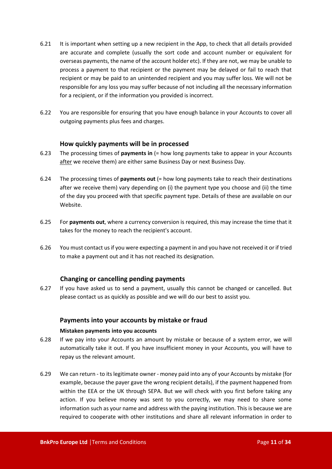- 6.21 It is important when setting up a new recipient in the App, to check that all details provided are accurate and complete (usually the sort code and account number or equivalent for overseas payments, the name of the account holder etc). If they are not, we may be unable to process a payment to that recipient or the payment may be delayed or fail to reach that recipient or may be paid to an unintended recipient and you may suffer loss. We will not be responsible for any loss you may suffer because of not including all the necessary information for a recipient, or if the information you provided is incorrect.
- 6.22 You are responsible for ensuring that you have enough balance in your Accounts to cover all outgoing payments plus fees and charges.

#### **How quickly payments will be in processed**

- 6.23 The processing times of **payments in** (= how long payments take to appear in your Accounts after we receive them) are either same Business Day or next Business Day.
- 6.24 The processing times of **payments out** (= how long payments take to reach their destinations after we receive them) vary depending on (i) the payment type you choose and (ii) the time of the day you proceed with that specific payment type. Details of these are available on our Website.
- 6.25 For **payments out**, where a currency conversion is required, this may increase the time that it takes for the money to reach the recipient's account.
- 6.26 You must contact us if you were expecting a payment in and you have not received it or if tried to make a payment out and it has not reached its designation.

#### **Changing or cancelling pending payments**

<span id="page-10-0"></span>6.27 If you have asked us to send a payment, usually this cannot be changed or cancelled. But please contact us as quickly as possible and we will do our best to assist you.

#### **Payments into your accounts by mistake or fraud**

#### **Mistaken payments into you accounts**

- 6.28 If we pay into your Accounts an amount by mistake or because of a system error, we will automatically take it out. If you have insufficient money in your Accounts, you will have to repay us the relevant amount.
- 6.29 We can return to its legitimate owner money paid into any of your Accounts by mistake (for example, because the payer gave the wrong recipient details), if the payment happened from within the EEA or the UK through SEPA. But we will check with you first before taking any action. If you believe money was sent to you correctly, we may need to share some information such as your name and address with the paying institution. This is because we are required to cooperate with other institutions and share all relevant information in order to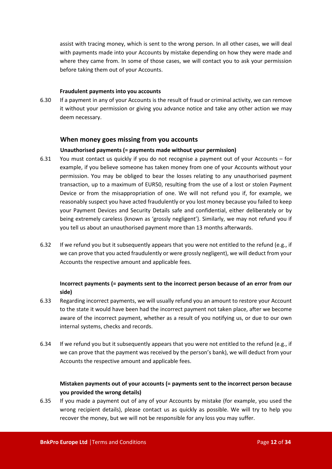assist with tracing money, which is sent to the wrong person. In all other cases, we will deal with payments made into your Accounts by mistake depending on how they were made and where they came from. In some of those cases, we will contact you to ask your permission before taking them out of your Accounts.

#### **Fraudulent payments into you accounts**

6.30 If a payment in any of your Accounts is the result of fraud or criminal activity, we can remove it without your permission or giving you advance notice and take any other action we may deem necessary.

#### **When money goes missing from you accounts**

#### **Unauthorised payments (= payments made without your permission)**

- 6.31 You must contact us quickly if you do not recognise a payment out of your Accounts for example, if you believe someone has taken money from one of your Accounts without your permission. You may be obliged to bear the losses relating to any unauthorised payment transaction, up to a maximum of EUR50, resulting from the use of a lost or stolen Payment Device or from the misappropriation of one. We will not refund you if, for example, we reasonably suspect you have acted fraudulently or you lost money because you failed to keep your Payment Devices and Security Details safe and confidential, either deliberately or by being extremely careless (known as 'grossly negligent'). Similarly, we may not refund you if you tell us about an unauthorised payment more than 13 months afterwards.
- 6.32 If we refund you but it subsequently appears that you were not entitled to the refund (e.g., if we can prove that you acted fraudulently or were grossly negligent), we will deduct from your Accounts the respective amount and applicable fees.

#### **Incorrect payments (= payments sent to the incorrect person because of an error from our side)**

- 6.33 Regarding incorrect payments, we will usually refund you an amount to restore your Account to the state it would have been had the incorrect payment not taken place, after we become aware of the incorrect payment, whether as a result of you notifying us, or due to our own internal systems, checks and records.
- 6.34 If we refund you but it subsequently appears that you were not entitled to the refund (e.g., if we can prove that the payment was received by the person's bank), we will deduct from your Accounts the respective amount and applicable fees.

#### **Mistaken payments out of your accounts (= payments sent to the incorrect person because you provided the wrong details)**

6.35 If you made a payment out of any of your Accounts by mistake (for example, you used the wrong recipient details), please contact us as quickly as possible. We will try to help you recover the money, but we will not be responsible for any loss you may suffer.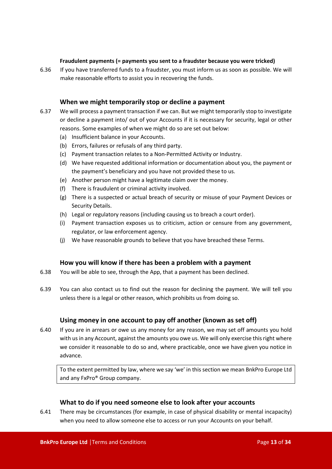#### **Fraudulent payments (= payments you sent to a fraudster because you were tricked)**

6.36 If you have transferred funds to a fraudster, you must inform us as soon as possible. We will make reasonable efforts to assist you in recovering the funds.

#### **When we might temporarily stop or decline a payment**

- <span id="page-12-0"></span>6.37 We will process a payment transaction if we can. But we might temporarily stop to investigate or decline a payment into/ out of your Accounts if it is necessary for security, legal or other reasons. Some examples of when we might do so are set out below:
	- (a) Insufficient balance in your Accounts.
	- (b) Errors, failures or refusals of any third party.
	- (c) Payment transaction relates to a Non-Permitted Activity or Industry.
	- (d) We have requested additional information or documentation about you, the payment or the payment's beneficiary and you have not provided these to us.
	- (e) Another person might have a legitimate claim over the money.
	- (f) There is fraudulent or criminal activity involved.
	- (g) There is a suspected or actual breach of security or misuse of your Payment Devices or Security Details.
	- (h) Legal or regulatory reasons (including causing us to breach a court order).
	- (i) Payment transaction exposes us to criticism, action or censure from any government, regulator, or law enforcement agency.
	- (j) We have reasonable grounds to believe that you have breached these Terms.

#### **How you will know if there has been a problem with a payment**

- 6.38 You will be able to see, through the App, that a payment has been declined.
- 6.39 You can also contact us to find out the reason for declining the payment. We will tell you unless there is a legal or other reason, which prohibits us from doing so.

#### **Using money in one account to pay off another (known as set off)**

6.40 If you are in arrears or owe us any money for any reason, we may set off amounts you hold with us in any Account, against the amounts you owe us. We will only exercise this right where we consider it reasonable to do so and, where practicable, once we have given you notice in advance.

To the extent permitted by law, where we say 'we' in this section we mean BnkPro Europe Ltd and any FxPro® Group company.

#### **What to do if you need someone else to look after your accounts**

6.41 There may be circumstances (for example, in case of physical disability or mental incapacity) when you need to allow someone else to access or run your Accounts on your behalf.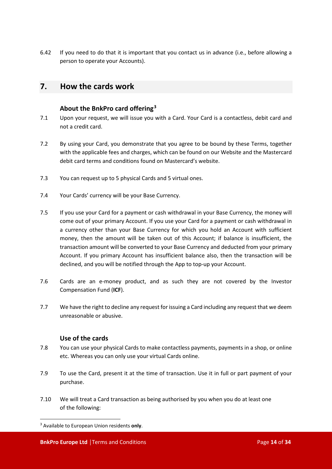6.42 If you need to do that it is important that you contact us in advance (i.e., before allowing a person to operate your Accounts).

#### <span id="page-13-0"></span>**7. How the cards work**

#### **About the BnkPro card offering[3](#page-13-1)**

- 7.1 Upon your request, we will issue you with a Card. Your Card is a contactless, debit card and not a credit card.
- 7.2 By using your Card, you demonstrate that you agree to be bound by these Terms, together with the applicable fees and charges, which can be found on our Website and the Mastercard debit card terms and conditions found on Mastercard's website.
- 7.3 You can request up to 5 physical Cards and 5 virtual ones.
- 7.4 Your Cards' currency will be your Base Currency.
- 7.5 If you use your Card for a payment or cash withdrawal in your Base Currency, the money will come out of your primary Account. If you use your Card for a payment or cash withdrawal in a currency other than your Base Currency for which you hold an Account with sufficient money, then the amount will be taken out of this Account; if balance is insufficient, the transaction amount will be converted to your Base Currency and deducted from your primary Account. If you primary Account has insufficient balance also, then the transaction will be declined, and you will be notified through the App to top-up your Account.
- 7.6 Cards are an e-money product, and as such they are not covered by the Investor Compensation Fund (**ICF**).
- 7.7 We have the right to decline any request for issuing a Card including any request that we deem unreasonable or abusive.

#### **Use of the cards**

- 7.8 You can use your physical Cards to make contactless payments, payments in a shop, or online etc. Whereas you can only use your virtual Cards online.
- 7.9 To use the Card, present it at the time of transaction. Use it in full or part payment of your purchase.
- 7.10 We will treat a Card transaction as being authorised by you when you do at least one of the following:

<span id="page-13-1"></span><sup>3</sup> Available to European Union residents **only**.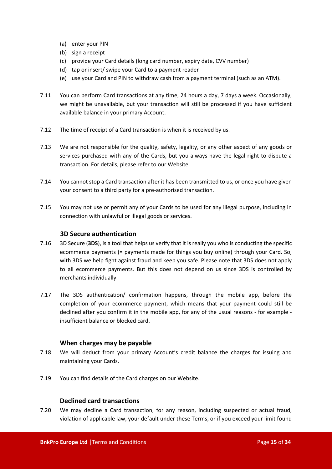- (a) enter your PIN
- (b) sign a receipt
- (c) provide your Card details (long card number, expiry date, CVV number)
- (d) tap or insert/ swipe your Card to a payment reader
- (e) use your Card and PIN to withdraw cash from a payment terminal (such as an ATM).
- 7.11 You can perform Card transactions at any time, 24 hours a day, 7 days a week. Occasionally, we might be unavailable, but your transaction will still be processed if you have sufficient available balance in your primary Account.
- 7.12 The time of receipt of a Card transaction is when it is received by us.
- 7.13 We are not responsible for the quality, safety, legality, or any other aspect of any goods or services purchased with any of the Cards, but you always have the legal right to dispute a transaction. For details, please refer to our Website.
- 7.14 You cannot stop a Card transaction after it has been transmitted to us, or once you have given your consent to a third party for a pre-authorised transaction.
- 7.15 You may not use or permit any of your Cards to be used for any illegal purpose, including in connection with unlawful or illegal goods or services.

#### **3D Secure authentication**

- 7.16 3D Secure (**3DS**), is a tool that helps us verify that it is really you who is conducting the specific ecommerce payments (= payments made for things you buy online) through your Card. So, with 3DS we help fight against fraud and keep you safe. Please note that 3DS does not apply to all ecommerce payments. But this does not depend on us since 3DS is controlled by merchants individually.
- 7.17 The 3DS authentication/ confirmation happens, through the mobile app, before the completion of your ecommerce payment, which means that your payment could still be declined after you confirm it in the mobile app, for any of the usual reasons - for example insufficient balance or blocked card.

#### **When charges may be payable**

- 7.18 We will deduct from your primary Account's credit balance the charges for issuing and maintaining your Cards.
- 7.19 You can find details of the Card charges on our Website.

#### **Declined card transactions**

7.20 We may decline a Card transaction, for any reason, including suspected or actual fraud, violation of applicable law, your default under these Terms, or if you exceed your limit found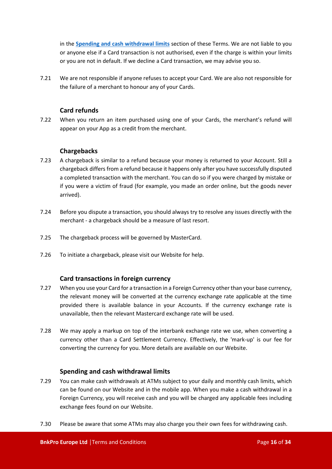in the **[Spending and cash withdrawal limits](#page-15-0)** section of these Terms. We are not liable to you or anyone else if a Card transaction is not authorised, even if the charge is within your limits or you are not in default. If we decline a Card transaction, we may advise you so.

7.21 We are not responsible if anyone refuses to accept your Card. We are also not responsible for the failure of a merchant to honour any of your Cards.

#### **Card refunds**

7.22 When you return an item purchased using one of your Cards, the merchant's refund will appear on your App as a credit from the merchant.

#### **Chargebacks**

- 7.23 A chargeback is similar to a refund because your money is returned to your Account. Still a chargeback differs from a refund because it happens only after you have successfully disputed a completed transaction with the merchant. You can do so if you were charged by mistake or if you were a victim of fraud (for example, you made an order online, but the goods never arrived).
- 7.24 Before you dispute a transaction, you should always try to resolve any issues directly with the merchant - a chargeback should be a measure of last resort.
- 7.25 The chargeback process will be governed by MasterCard.
- 7.26 To initiate a chargeback, please visit our Website for help.

#### **Card transactions in foreign currency**

- 7.27 When you use your Card for a transaction in a Foreign Currency other than your base currency, the relevant money will be converted at the currency exchange rate applicable at the time provided there is available balance in your Accounts. If the currency exchange rate is unavailable, then the relevant Mastercard exchange rate will be used.
- 7.28 We may apply a markup on top of the interbank exchange rate we use, when converting a currency other than a Card Settlement Currency. Effectively, the 'mark-up' is our fee for converting the currency for you. More details are available on our Website.

#### **Spending and cash withdrawal limits**

- <span id="page-15-0"></span>7.29 You can make cash withdrawals at ATMs subject to your daily and monthly cash limits, which can be found on our Website and in the mobile app. When you make a cash withdrawal in a Foreign Currency, you will receive cash and you will be charged any applicable fees including exchange fees found on our Website.
- 7.30 Please be aware that some ATMs may also charge you their own fees for withdrawing cash.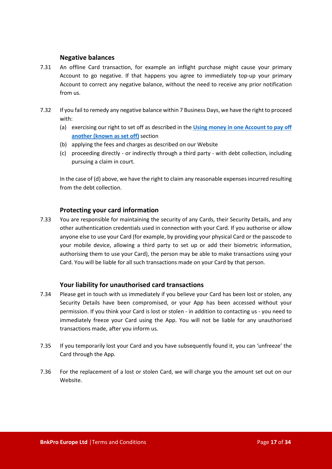#### **Negative balances**

- 7.31 An offline Card transaction, for example an inflight purchase might cause your primary Account to go negative. If that happens you agree to immediately top-up your primary Account to correct any negative balance, without the need to receive any prior notification from us.
- 7.32 If you fail to remedy any negative balance within 7 Business Days, we have the right to proceed with:
	- (a) exercising our right to set off as described in the **[Using money in one Account to pay off](#page-10-0)  [another \(known as set off\)](#page-10-0)** section
	- (b) applying the fees and charges as described on our Website
	- (c) proceeding directly or indirectly through a third party with debt collection, including pursuing a claim in court.

In the case of (d) above, we have the right to claim any reasonable expenses incurred resulting from the debt collection.

#### **Protecting your card information**

7.33 You are responsible for maintaining the security of any Cards, their Security Details, and any other authentication credentials used in connection with your Card. If you authorise or allow anyone else to use your Card (for example, by providing your physical Card or the passcode to your mobile device, allowing a third party to set up or add their biometric information, authorising them to use your Card), the person may be able to make transactions using your Card. You will be liable for all such transactions made on your Card by that person.

#### **Your liability for unauthorised card transactions**

- 7.34 Please get in touch with us immediately if you believe your Card has been lost or stolen, any Security Details have been compromised, or your App has been accessed without your permission. If you think your Card is lost or stolen - in addition to contacting us - you need to immediately freeze your Card using the App. You will not be liable for any unauthorised transactions made, after you inform us.
- 7.35 If you temporarily lost your Card and you have subsequently found it, you can 'unfreeze' the Card through the App.
- 7.36 For the replacement of a lost or stolen Card, we will charge you the amount set out on our Website.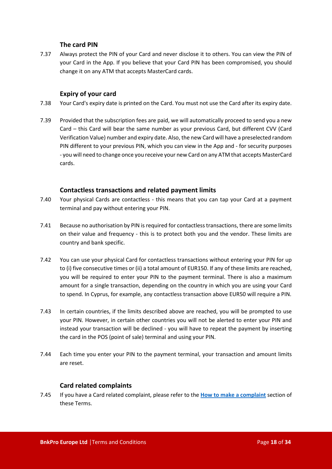#### **The card PIN**

7.37 Always protect the PIN of your Card and never disclose it to others. You can view the PIN of your Card in the App. If you believe that your Card PIN has been compromised, you should change it on any ATM that accepts MasterCard cards.

#### **Expiry of your card**

- 7.38 Your Card's expiry date is printed on the Card. You must not use the Card after its expiry date.
- 7.39 Provided that the subscription fees are paid, we will automatically proceed to send you a new Card – this Card will bear the same number as your previous Card, but different CVV (Card Verification Value) number and expiry date. Also, the new Card will have a preselected random PIN different to your previous PIN, which you can view in the App and - for security purposes - you will need to change once you receive your new Card on any ATM that accepts MasterCard cards.

#### **Contactless transactions and related payment limits**

- 7.40 Your physical Cards are contactless this means that you can tap your Card at a payment terminal and pay without entering your PIN.
- 7.41 Because no authorisation by PIN is required for contactless transactions, there are some limits on their value and frequency - this is to protect both you and the vendor. These limits are country and bank specific.
- 7.42 You can use your physical Card for contactless transactions without entering your PIN for up to (i) five consecutive times or (ii) a total amount of EUR150. If any of these limits are reached, you will be required to enter your PIN to the payment terminal. There is also a maximum amount for a single transaction, depending on the country in which you are using your Card to spend. In Cyprus, for example, any contactless transaction above EUR50 will require a PIN.
- 7.43 In certain countries, if the limits described above are reached, you will be prompted to use your PIN. However, in certain other countries you will not be alerted to enter your PIN and instead your transaction will be declined - you will have to repeat the payment by inserting the card in the POS (point of sale) terminal and using your PIN.
- 7.44 Each time you enter your PIN to the payment terminal, your transaction and amount limits are reset.

#### **Card related complaints**

7.45 If you have a Card related complaint, please refer to the **[How to make a complaint](#page-23-0)** section of these Terms.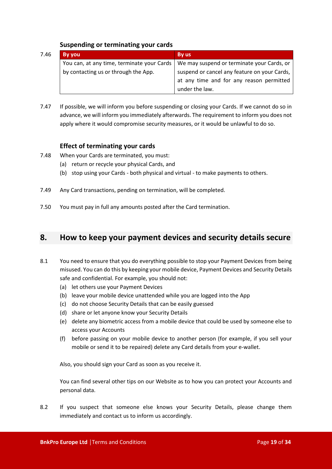#### **Suspending or terminating your cards**

| 7.46 | <b>By you</b>                              | By us                                        |
|------|--------------------------------------------|----------------------------------------------|
|      | You can, at any time, terminate your Cards | We may suspend or terminate your Cards, or   |
|      | by contacting us or through the App.       | suspend or cancel any feature on your Cards, |
|      |                                            | at any time and for any reason permitted     |
|      |                                            | under the law.                               |

7.47 If possible, we will inform you before suspending or closing your Cards. If we cannot do so in advance, we will inform you immediately afterwards. The requirement to inform you does not apply where it would compromise security measures, or it would be unlawful to do so.

#### **Effect of terminating your cards**

- 7.48 When your Cards are terminated, you must:
	- (a) return or recycle your physical Cards, and
	- (b) stop using your Cards both physical and virtual to make payments to others.
- 7.49 Any Card transactions, pending on termination, will be completed.
- 7.50 You must pay in full any amounts posted after the Card termination.

#### <span id="page-18-0"></span>**8. How to keep your payment devices and security details secure**

- 8.1 You need to ensure that you do everything possible to stop your Payment Devices from being misused. You can do this by keeping your mobile device, Payment Devices and Security Details safe and confidential. For example, you should not:
	- (a) let others use your Payment Devices
	- (b) leave your mobile device unattended while you are logged into the App
	- (c) do not choose Security Details that can be easily guessed
	- (d) share or let anyone know your Security Details
	- (e) delete any biometric access from a mobile device that could be used by someone else to access your Accounts
	- (f) before passing on your mobile device to another person (for example, if you sell your mobile or send it to be repaired) delete any Card details from your e-wallet.

Also, you should sign your Card as soon as you receive it.

You can find several other tips on our Website as to how you can protect your Accounts and personal data.

8.2 If you suspect that someone else knows your Security Details, please change them immediately and contact us to inform us accordingly.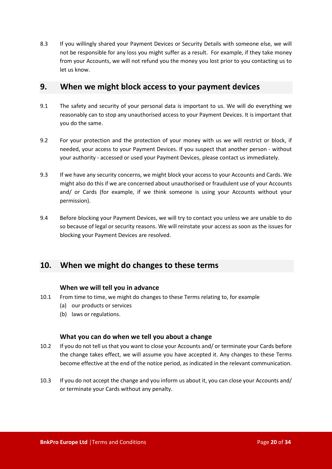8.3 If you willingly shared your Payment Devices or Security Details with someone else, we will not be responsible for any loss you might suffer as a result. For example, if they take money from your Accounts, we will not refund you the money you lost prior to you contacting us to let us know.

#### <span id="page-19-0"></span>**9. When we might block access to your payment devices**

- 9.1 The safety and security of your personal data is important to us. We will do everything we reasonably can to stop any unauthorised access to your Payment Devices. It is important that you do the same.
- 9.2 For your protection and the protection of your money with us we will restrict or block, if needed, your access to your Payment Devices. If you suspect that another person - without your authority - accessed or used your Payment Devices, please contact us immediately.
- 9.3 If we have any security concerns, we might block your access to your Accounts and Cards. We might also do this if we are concerned about unauthorised or fraudulent use of your Accounts and/ or Cards (for example, if we think someone is using your Accounts without your permission).
- 9.4 Before blocking your Payment Devices, we will try to contact you unless we are unable to do so because of legal or security reasons. We will reinstate your access as soon as the issues for blocking your Payment Devices are resolved.

#### <span id="page-19-1"></span>**10. When we might do changes to these terms**

#### **When we will tell you in advance**

- 10.1 From time to time, we might do changes to these Terms relating to, for example
	- (a) our products or services
	- (b) laws or regulations.

#### **What you can do when we tell you about a change**

- 10.2 If you do not tell us that you want to close your Accounts and/ or terminate your Cards before the change takes effect, we will assume you have accepted it. Any changes to these Terms become effective at the end of the notice period, as indicated in the relevant communication.
- 10.3 If you do not accept the change and you inform us about it, you can close your Accounts and/ or terminate your Cards without any penalty.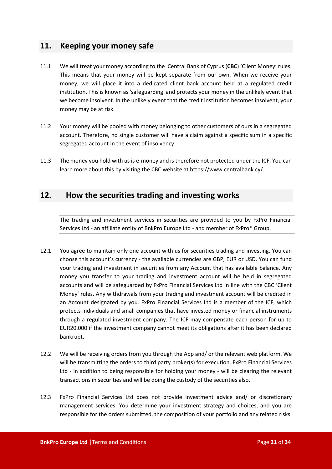#### <span id="page-20-0"></span>**11. Keeping your money safe**

- 11.1 We will treat your money according to the Central Bank of Cyprus (**CBC**) 'Client Money' rules. This means that your money will be kept separate from our own. When we receive your money, we will place it into a dedicated client bank account held at a regulated credit institution. This is known as 'safeguarding' and protects your money in the unlikely event that we become insolvent. In the unlikely event that the credit institution becomes insolvent, your money may be at risk.
- 11.2 Your money will be pooled with money belonging to other customers of ours in a segregated account. Therefore, no single customer will have a claim against a specific sum in a specific segregated account in the event of insolvency.
- 11.3 The money you hold with us is e-money and is therefore not protected under the ICF. You can learn more about this by visiting the CBC website at https://www.centralbank.cy/.

#### <span id="page-20-1"></span>**12. How the securities trading and investing works**

The trading and investment services in securities are provided to you by FxPro Financial Services Ltd - an affiliate entity of BnkPro Europe Ltd - and member of FxPro® Group.

- 12.1 You agree to maintain only one account with us for securities trading and investing. You can choose this account's currency - the available currencies are GBP, EUR or USD. You can fund your trading and investment in securities from any Account that has available balance. Any money you transfer to your trading and investment account will be held in segregated accounts and will be safeguarded by FxPro Financial Services Ltd in line with the CBC 'Client Money' rules. Any withdrawals from your trading and investment account will be credited in an Account designated by you. FxPro Financial Services Ltd is a member of the ICF, which protects individuals and small companies that have invested money or financial instruments through a regulated investment company. The ICF may compensate each person for up to EUR20.000 if the investment company cannot meet its obligations after it has been declared bankrupt.
- 12.2 We will be receiving orders from you through the App and/ or the relevant web platform. We will be transmitting the orders to third party broker(s) for execution. FxPro Financial Services Ltd - in addition to being responsible for holding your money - will be clearing the relevant transactions in securities and will be doing the custody of the securities also.
- 12.3 FxPro Financial Services Ltd does not provide investment advice and/ or discretionary management services. You determine your investment strategy and choices, and you are responsible for the orders submitted, the composition of your portfolio and any related risks.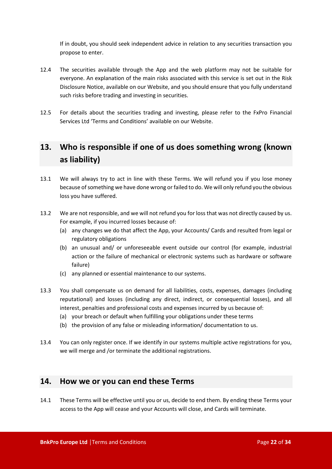If in doubt, you should seek independent advice in relation to any securities transaction you propose to enter.

- 12.4 The securities available through the App and the web platform may not be suitable for everyone. An explanation of the main risks associated with this service is set out in the Risk Disclosure Notice, available on our Website, and you should ensure that you fully understand such risks before trading and investing in securities.
- 12.5 For details about the securities trading and investing, please refer to the FxPro Financial Services Ltd 'Terms and Conditions' available on our Website.

## <span id="page-21-0"></span>**13. Who is responsible if one of us does something wrong (known as liability)**

- 13.1 We will always try to act in line with these Terms. We will refund you if you lose money because of something we have done wrong or failed to do. We will only refund you the obvious loss you have suffered.
- 13.2 We are not responsible, and we will not refund you for loss that was not directly caused by us. For example, if you incurred losses because of:
	- (a) any changes we do that affect the App, your Accounts/ Cards and resulted from legal or regulatory obligations
	- (b) an unusual and/ or unforeseeable event outside our control (for example, industrial action or the failure of mechanical or electronic systems such as hardware or software failure)
	- (c) any planned or essential maintenance to our systems.
- 13.3 You shall compensate us on demand for all liabilities, costs, expenses, damages (including reputational) and losses (including any direct, indirect, or consequential losses), and all interest, penalties and professional costs and expenses incurred by us because of:
	- (a) your breach or default when fulfilling your obligations under these terms
	- (b) the provision of any false or misleading information/ documentation to us.
- 13.4 You can only register once. If we identify in our systems multiple active registrations for you, we will merge and /or terminate the additional registrations.

#### <span id="page-21-1"></span>**14. How we or you can end these Terms**

14.1 These Terms will be effective until you or us, decide to end them. By ending these Terms your access to the App will cease and your Accounts will close, and Cards will terminate.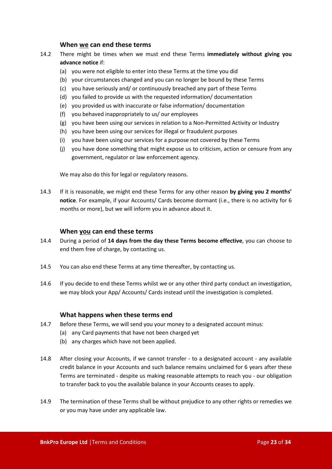#### **When we can end these terms**

- <span id="page-22-0"></span>14.2 There might be times when we must end these Terms **immediately without giving you advance notice** if:
	- (a) you were not eligible to enter into these Terms at the time you did
	- (b) your circumstances changed and you can no longer be bound by these Terms
	- (c) you have seriously and/ or continuously breached any part of these Terms
	- (d) you failed to provide us with the requested information/ documentation
	- (e) you provided us with inaccurate or false information/ documentation
	- (f) you behaved inappropriately to us/ our employees
	- (g) you have been using our services in relation to a Non-Permitted Activity or Industry
	- (h) you have been using our services for illegal or fraudulent purposes
	- (i) you have been using our services for a purpose not covered by these Terms
	- (j) you have done something that might expose us to criticism, action or censure from any government, regulator or law enforcement agency.

We may also do this for legal or regulatory reasons.

14.3 If it is reasonable, we might end these Terms for any other reason **by giving you 2 months' notice**. For example, if your Accounts/ Cards become dormant (i.e., there is no activity for 6 months or more), but we will inform you in advance about it.

#### **When you can end these terms**

- 14.4 During a period of **14 days from the day these Terms become effective**, you can choose to end them free of charge, by contacting us.
- 14.5 You can also end these Terms at any time thereafter, by contacting us.
- 14.6 If you decide to end these Terms whilst we or any other third party conduct an investigation, we may block your App/ Accounts/ Cards instead until the investigation is completed.

#### **What happens when these terms end**

- 14.7 Before these Terms, we will send you your money to a designated account minus:
	- (a) any Card payments that have not been charged yet
	- (b) any charges which have not been applied.
- 14.8 After closing your Accounts, if we cannot transfer to a designated account any available credit balance in your Accounts and such balance remains unclaimed for 6 years after these Terms are terminated - despite us making reasonable attempts to reach you - our obligation to transfer back to you the available balance in your Accounts ceases to apply.
- 14.9 The termination of these Terms shall be without prejudice to any other rights or remedies we or you may have under any applicable law.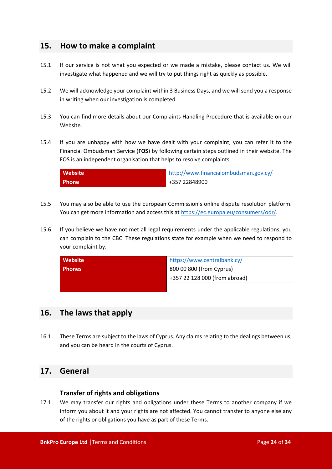#### <span id="page-23-0"></span>**15. How to make a complaint**

- 15.1 If our service is not what you expected or we made a mistake, please contact us. We will investigate what happened and we will try to put things right as quickly as possible.
- 15.2 We will acknowledge your complaint within 3 Business Days, and we will send you a response in writing when our investigation is completed.
- 15.3 You can find more details about our Complaints Handling Procedure that is available on our Website.
- 15.4 If you are unhappy with how we have dealt with your complaint, you can refer it to the Financial Ombudsman Service (**FOS**) by following certain steps outlined in their website. The FOS is an independent organisation that helps to resolve complaints.

| Website      | http://www.financialombudsman.gov.cy/ |
|--------------|---------------------------------------|
| <b>Phone</b> | +357 22848900                         |

- 15.5 You may also be able to use the European Commission's online dispute resolution platform. You can get more information and access this at <https://ec.europa.eu/consumers/odr/>.
- 15.6 If you believe we have not met all legal requirements under the applicable regulations, you can complain to the CBC. These regulations state for example when we need to respond to your complaint by.

| <b>Website</b> | https://www.centralbank.cy/   |  |
|----------------|-------------------------------|--|
| <b>Phones</b>  | 800 00 800 (from Cyprus)      |  |
|                | +357 22 128 000 (from abroad) |  |
|                |                               |  |

#### <span id="page-23-1"></span>**16. The laws that apply**

16.1 These Terms are subject to the laws of Cyprus. Any claims relating to the dealings between us, and you can be heard in the courts of Cyprus.

#### <span id="page-23-2"></span>**17. General**

#### **Transfer of rights and obligations**

17.1 We may transfer our rights and obligations under these Terms to another company if we inform you about it and your rights are not affected. You cannot transfer to anyone else any of the rights or obligations you have as part of these Terms.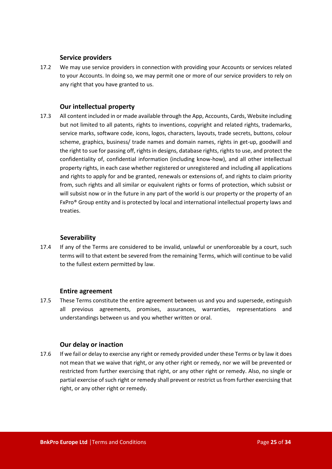#### **Service providers**

17.2 We may use service providers in connection with providing your Accounts or services related to your Accounts. In doing so, we may permit one or more of our service providers to rely on any right that you have granted to us.

#### **Our intellectual property**

17.3 All content included in or made available through the App, Accounts, Cards, Website including but not limited to all patents, rights to inventions, copyright and related rights, trademarks, service marks, software code, icons, logos, characters, layouts, trade secrets, buttons, colour scheme, graphics, business/ trade names and domain names, rights in get-up, goodwill and the right to sue for passing off, rights in designs, database rights, rights to use, and protect the confidentiality of, confidential information (including know-how), and all other intellectual property rights, in each case whether registered or unregistered and including all applications and rights to apply for and be granted, renewals or extensions of, and rights to claim priority from, such rights and all similar or equivalent rights or forms of protection, which subsist or will subsist now or in the future in any part of the world is our property or the property of an FxPro® Group entity and is protected by local and international intellectual property laws and treaties.

#### **Severability**

17.4 If any of the Terms are considered to be invalid, unlawful or unenforceable by a court, such terms will to that extent be severed from the remaining Terms, which will continue to be valid to the fullest extern permitted by law.

#### **Entire agreement**

17.5 These Terms constitute the entire agreement between us and you and supersede, extinguish all previous agreements, promises, assurances, warranties, representations and understandings between us and you whether written or oral.

#### **Our delay or inaction**

17.6 If we fail or delay to exercise any right or remedy provided under these Terms or by law it does not mean that we waive that right, or any other right or remedy, nor we will be prevented or restricted from further exercising that right, or any other right or remedy. Also, no single or partial exercise of such right or remedy shall prevent or restrict us from further exercising that right, or any other right or remedy.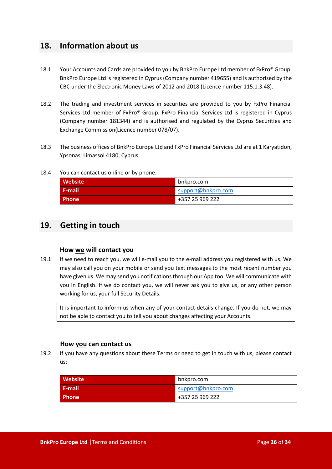#### <span id="page-25-0"></span>**18. Information about us**

- 18.1 Your Accounts and Cards are provided to you by BnkPro Europe Ltd member of FxPro® Group. BnkPro Europe Ltd is registered in Cyprus (Company number 419655) and is authorised by the CBC under the Electronic Money Laws of 2012 and 2018 (Licence number 115.1.3.48).
- 18.2 The trading and investment services in securities are provided to you by FxPro Financial Services Ltd member of FxPro® Group. FxPro Financial Services Ltd is registered in Cyprus (Company number 181344) and is authorised and regulated by the Cyprus Securities and Exchange Commission(Licence number 078/07).
- 18.3 The business offices of BnkPro Europe Ltd and FxPro Financial Services Ltd are at 1 Karyatidon, Ypsonas, Limassol 4180, Cyprus.

#### 18.4 You can contact us online or by phone.

| <b>Website</b> | bnkpro.com         |
|----------------|--------------------|
| E-mail         | support@bnkpro.com |
| <b>Phone</b>   | +357 25 969 222    |

#### <span id="page-25-1"></span>**19. Getting in touch**

#### **How we will contact you**

19.1 If we need to reach you, we will e-mail you to the e-mail address you registered with us. We may also call you on your mobile or send you text messages to the most recent number you have given us. We may send you notifications through our App too. We will communicate with you in English. If we do contact you, we will never ask you to give us, or any other person working for us, your full Security Details.

It is important to inform us when any of your contact details change. If you do not, we may not be able to contact you to tell you about changes affecting your Accounts.

#### **How you can contact us**

19.2 If you have any questions about these Terms or need to get in touch with us, please contact us:

| <b>Website</b> | bnkpro.com         |
|----------------|--------------------|
| <b>E-mail</b>  | support@bnkpro.com |
| <b>Phone</b>   | +357 25 969 222    |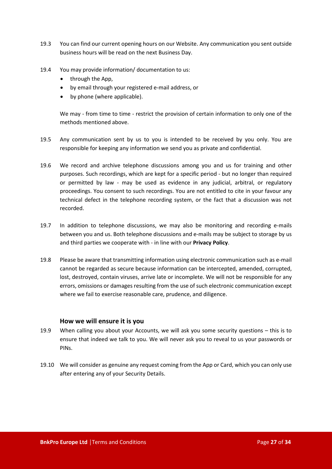- 19.3 You can find our current opening hours on our Website. Any communication you sent outside business hours will be read on the next Business Day.
- 19.4 You may provide information/ documentation to us:
	- through the App,
	- by email through your registered e-mail address, or
	- by phone (where applicable).

We may - from time to time - restrict the provision of certain information to only one of the methods mentioned above.

- 19.5 Any communication sent by us to you is intended to be received by you only. You are responsible for keeping any information we send you as private and confidential.
- 19.6 We record and archive telephone discussions among you and us for training and other purposes. Such recordings, which are kept for a specific period - but no longer than required or permitted by law - may be used as evidence in any judicial, arbitral, or regulatory proceedings. You consent to such recordings. You are not entitled to cite in your favour any technical defect in the telephone recording system, or the fact that a discussion was not recorded.
- 19.7 In addition to telephone discussions, we may also be monitoring and recording e-mails between you and us. Both telephone discussions and e-mails may be subject to storage by us and third parties we cooperate with - in line with our **Privacy Policy**.
- 19.8 Please be aware that transmitting information using electronic communication such as e-mail cannot be regarded as secure because information can be intercepted, amended, corrupted, lost, destroyed, contain viruses, arrive late or incomplete. We will not be responsible for any errors, omissions or damages resulting from the use of such electronic communication except where we fail to exercise reasonable care, prudence, and diligence.

#### **How we will ensure it is you**

- 19.9 When calling you about your Accounts, we will ask you some security questions this is to ensure that indeed we talk to you. We will never ask you to reveal to us your passwords or PINs.
- 19.10 We will consider as genuine any request coming from the App or Card, which you can only use after entering any of your Security Details.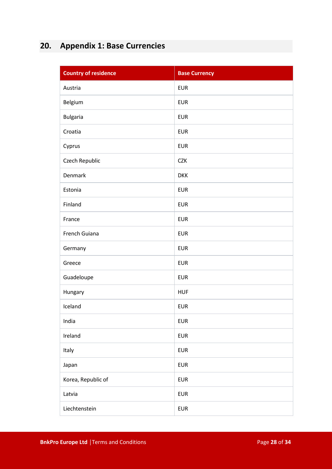## <span id="page-27-0"></span>**20. Appendix 1: Base Currencies**

| <b>Country of residence</b> | <b>Base Currency</b> |
|-----------------------------|----------------------|
| Austria                     | <b>EUR</b>           |
| Belgium                     | <b>EUR</b>           |
| <b>Bulgaria</b>             | <b>EUR</b>           |
| Croatia                     | <b>EUR</b>           |
| Cyprus                      | <b>EUR</b>           |
| Czech Republic              | <b>CZK</b>           |
| <b>Denmark</b>              | <b>DKK</b>           |
| Estonia                     | <b>EUR</b>           |
| Finland                     | <b>EUR</b>           |
| France                      | <b>EUR</b>           |
| French Guiana               | <b>EUR</b>           |
| Germany                     | <b>EUR</b>           |
| Greece                      | <b>EUR</b>           |
| Guadeloupe                  | <b>EUR</b>           |
| Hungary                     | <b>HUF</b>           |
| Iceland                     | <b>EUR</b>           |
| India                       | <b>EUR</b>           |
| Ireland                     | <b>EUR</b>           |
| Italy                       | <b>EUR</b>           |
| Japan                       | <b>EUR</b>           |
| Korea, Republic of          | <b>EUR</b>           |
| Latvia                      | <b>EUR</b>           |
| Liechtenstein               | <b>EUR</b>           |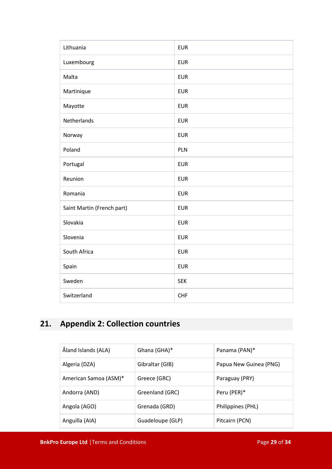| Lithuania                  | <b>EUR</b> |
|----------------------------|------------|
| Luxembourg                 | <b>EUR</b> |
| Malta                      | <b>EUR</b> |
| Martinique                 | <b>EUR</b> |
| Mayotte                    | <b>EUR</b> |
| Netherlands                | <b>EUR</b> |
| Norway                     | <b>EUR</b> |
| Poland                     | PLN        |
| Portugal                   | <b>EUR</b> |
| Reunion                    | <b>EUR</b> |
| Romania                    | <b>EUR</b> |
| Saint Martin (French part) | <b>EUR</b> |
| Slovakia                   | <b>EUR</b> |
| Slovenia                   | <b>EUR</b> |
| South Africa               | <b>EUR</b> |
| Spain                      | <b>EUR</b> |
| Sweden                     | <b>SEK</b> |
| Switzerland                | <b>CHF</b> |

## <span id="page-28-0"></span>**21. Appendix 2: Collection countries**

| Åland Islands (ALA)   | Ghana (GHA)*     | Panama (PAN)*          |
|-----------------------|------------------|------------------------|
| Algeria (DZA)         | Gibraltar (GIB)  | Papua New Guinea (PNG) |
| American Samoa (ASM)* | Greece (GRC)     | Paraguay (PRY)         |
| Andorra (AND)         | Greenland (GRC)  | Peru (PER)*            |
| Angola (AGO)          | Grenada (GRD)    | Philippines (PHL)      |
| Anguilla (AIA)        | Guadeloupe (GLP) | Pitcairn (PCN)         |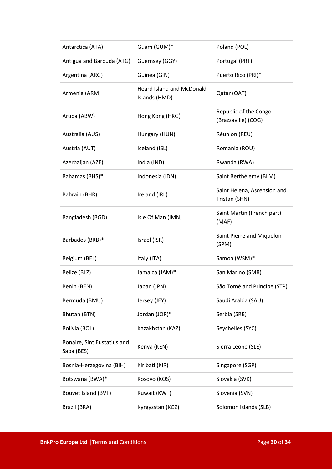| Antarctica (ATA)                          | Guam (GUM)*                                       | Poland (POL)                                 |
|-------------------------------------------|---------------------------------------------------|----------------------------------------------|
| Antigua and Barbuda (ATG)                 | Guernsey (GGY)                                    | Portugal (PRT)                               |
| Argentina (ARG)                           | Guinea (GIN)                                      | Puerto Rico (PRI)*                           |
| Armenia (ARM)                             | <b>Heard Island and McDonald</b><br>Islands (HMD) | Qatar (QAT)                                  |
| Aruba (ABW)                               | Hong Kong (HKG)                                   | Republic of the Congo<br>(Brazzaville) (COG) |
| Australia (AUS)                           | Hungary (HUN)                                     | Réunion (REU)                                |
| Austria (AUT)                             | Iceland (ISL)                                     | Romania (ROU)                                |
| Azerbaijan (AZE)                          | India (IND)                                       | Rwanda (RWA)                                 |
| Bahamas (BHS)*                            | Indonesia (IDN)                                   | Saint Berthélemy (BLM)                       |
| Bahrain (BHR)                             | Ireland (IRL)                                     | Saint Helena, Ascension and<br>Tristan (SHN) |
| Bangladesh (BGD)                          | Isle Of Man (IMN)                                 | Saint Martin (French part)<br>(MAF)          |
| Barbados (BRB)*                           | Israel (ISR)                                      | Saint Pierre and Miquelon<br>(SPM)           |
| Belgium (BEL)                             | Italy (ITA)                                       | Samoa (WSM)*                                 |
| Belize (BLZ)                              | Jamaica (JAM)*                                    | San Marino (SMR)                             |
| Benin (BEN)                               | Japan (JPN)                                       | São Tomé and Principe (STP)                  |
| Bermuda (BMU)                             | Jersey (JEY)                                      | Saudi Arabia (SAU)                           |
| Bhutan (BTN)                              | Jordan (JOR)*                                     | Serbia (SRB)                                 |
| Bolivia (BOL)                             | Kazakhstan (KAZ)                                  | Seychelles (SYC)                             |
| Bonaire, Sint Eustatius and<br>Saba (BES) | Kenya (KEN)                                       | Sierra Leone (SLE)                           |
| Bosnia-Herzegovina (BIH)                  | Kiribati (KIR)                                    | Singapore (SGP)                              |
| Botswana (BWA)*                           | Kosovo (KOS)                                      | Slovakia (SVK)                               |
| Bouvet Island (BVT)                       | Kuwait (KWT)                                      | Slovenia (SVN)                               |
| Brazil (BRA)                              | Kyrgyzstan (KGZ)                                  | Solomon Islands (SLB)                        |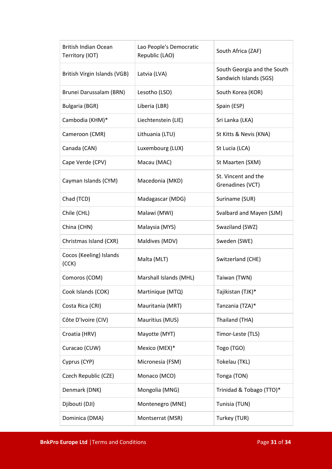| <b>British Indian Ocean</b><br>Territory (IOT) | Lao People's Democratic<br>Republic (LAO) | South Africa (ZAF)                                    |
|------------------------------------------------|-------------------------------------------|-------------------------------------------------------|
| British Virgin Islands (VGB)                   | Latvia (LVA)                              | South Georgia and the South<br>Sandwich Islands (SGS) |
| Brunei Darussalam (BRN)                        | Lesotho (LSO)                             | South Korea (KOR)                                     |
| <b>Bulgaria (BGR)</b>                          | Liberia (LBR)                             | Spain (ESP)                                           |
| Cambodia (KHM)*                                | Liechtenstein (LIE)                       | Sri Lanka (LKA)                                       |
| Cameroon (CMR)                                 | Lithuania (LTU)                           | St Kitts & Nevis (KNA)                                |
| Canada (CAN)                                   | Luxembourg (LUX)                          | St Lucia (LCA)                                        |
| Cape Verde (CPV)                               | Macau (MAC)                               | St Maarten (SXM)                                      |
| Cayman Islands (CYM)                           | Macedonia (MKD)                           | St. Vincent and the<br>Grenadines (VCT)               |
| Chad (TCD)                                     | Madagascar (MDG)                          | Suriname (SUR)                                        |
| Chile (CHL)                                    | Malawi (MWI)                              | Svalbard and Mayen (SJM)                              |
| China (CHN)                                    | Malaysia (MYS)                            | Swaziland (SWZ)                                       |
| Christmas Island (CXR)                         | Maldives (MDV)                            | Sweden (SWE)                                          |
| Cocos (Keeling) Islands<br>(CCK)               | Malta (MLT)                               | Switzerland (CHE)                                     |
| Comoros (COM)                                  | Marshall Islands (MHL)                    | Taiwan (TWN)                                          |
| Cook Islands (COK)                             | Martinique (MTQ)                          | Tajikistan (TJK)*                                     |
| Costa Rica (CRI)                               | Mauritania (MRT)                          | Tanzania (TZA)*                                       |
| Côte D'Ivoire (CIV)                            | Mauritius (MUS)                           | Thailand (THA)                                        |
| Croatia (HRV)                                  | Mayotte (MYT)                             | Timor-Leste (TLS)                                     |
| Curacao (CUW)                                  | Mexico (MEX)*                             | Togo (TGO)                                            |
| Cyprus (CYP)                                   | Micronesia (FSM)                          | Tokelau (TKL)                                         |
| Czech Republic (CZE)                           | Monaco (MCO)                              | Tonga (TON)                                           |
| Denmark (DNK)                                  | Mongolia (MNG)                            | Trinidad & Tobago (TTO)*                              |
| Djibouti (DJI)                                 | Montenegro (MNE)                          | Tunisia (TUN)                                         |
| Dominica (DMA)                                 | Montserrat (MSR)                          | Turkey (TUR)                                          |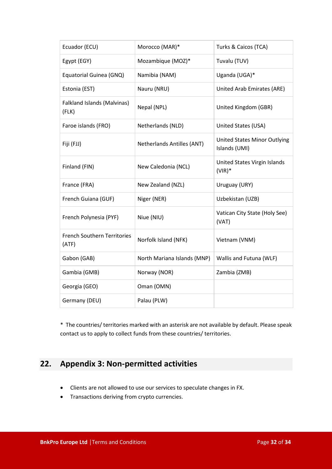| Ecuador (ECU)                               | Morocco (MAR)*              | Turks & Caicos (TCA)                                 |
|---------------------------------------------|-----------------------------|------------------------------------------------------|
| Egypt (EGY)                                 | Mozambique (MOZ)*           | Tuvalu (TUV)                                         |
| Equatorial Guinea (GNQ)                     | Namibia (NAM)               | Uganda (UGA)*                                        |
| Estonia (EST)                               | Nauru (NRU)                 | United Arab Emirates (ARE)                           |
| Falkland Islands (Malvinas)<br>(FLK)        | Nepal (NPL)                 | United Kingdom (GBR)                                 |
| Faroe islands (FRO)                         | Netherlands (NLD)           | United States (USA)                                  |
| Fiji (FJJ)                                  | Netherlands Antilles (ANT)  | <b>United States Minor Outlying</b><br>Islands (UMI) |
| Finland (FIN)                               | New Caledonia (NCL)         | United States Virgin Islands<br>$(VIR)*$             |
| France (FRA)                                | New Zealand (NZL)           | Uruguay (URY)                                        |
| French Guiana (GUF)                         | Niger (NER)                 | Uzbekistan (UZB)                                     |
| French Polynesia (PYF)                      | Niue (NIU)                  | Vatican City State (Holy See)<br>(VAT)               |
| <b>French Southern Territories</b><br>(ATF) | Norfolk Island (NFK)        | Vietnam (VNM)                                        |
| Gabon (GAB)                                 | North Mariana Islands (MNP) | Wallis and Futuna (WLF)                              |
| Gambia (GMB)                                | Norway (NOR)                | Zambia (ZMB)                                         |
| Georgia (GEO)                               | Oman (OMN)                  |                                                      |
| Germany (DEU)                               | Palau (PLW)                 |                                                      |

\* The countries/ territories marked with an asterisk are not available by default. Please speak contact us to apply to collect funds from these countries/ territories.

## <span id="page-31-0"></span>**22. Appendix 3: Non-permitted activities**

- Clients are not allowed to use our services to speculate changes in FX.
- Transactions deriving from crypto currencies.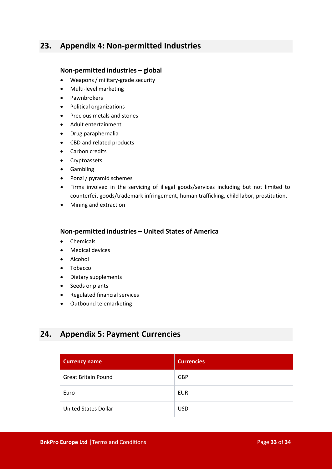### <span id="page-32-0"></span>**23. Appendix 4: Non-permitted Industries**

#### **Non-permitted industries – global**

- Weapons / military-grade security
- Multi-level marketing
- Pawnbrokers
- Political organizations
- Precious metals and stones
- Adult entertainment
- Drug paraphernalia
- CBD and related products
- Carbon credits
- Cryptoassets
- Gambling
- Ponzi / pyramid schemes
- Firms involved in the servicing of illegal goods/services including but not limited to: counterfeit goods/trademark infringement, human trafficking, child labor, prostitution.
- Mining and extraction

#### **Non-permitted industries – United States of America**

- Chemicals
- Medical devices
- Alcohol
- Tobacco
- Dietary supplements
- Seeds or plants
- Regulated financial services
- Outbound telemarketing

### <span id="page-32-1"></span>**24. Appendix 5: Payment Currencies**

| <b>Currency name</b>       | <b>Currencies</b> |
|----------------------------|-------------------|
| <b>Great Britain Pound</b> | <b>GBP</b>        |
| Euro                       | EUR               |
| United States Dollar       | <b>USD</b>        |